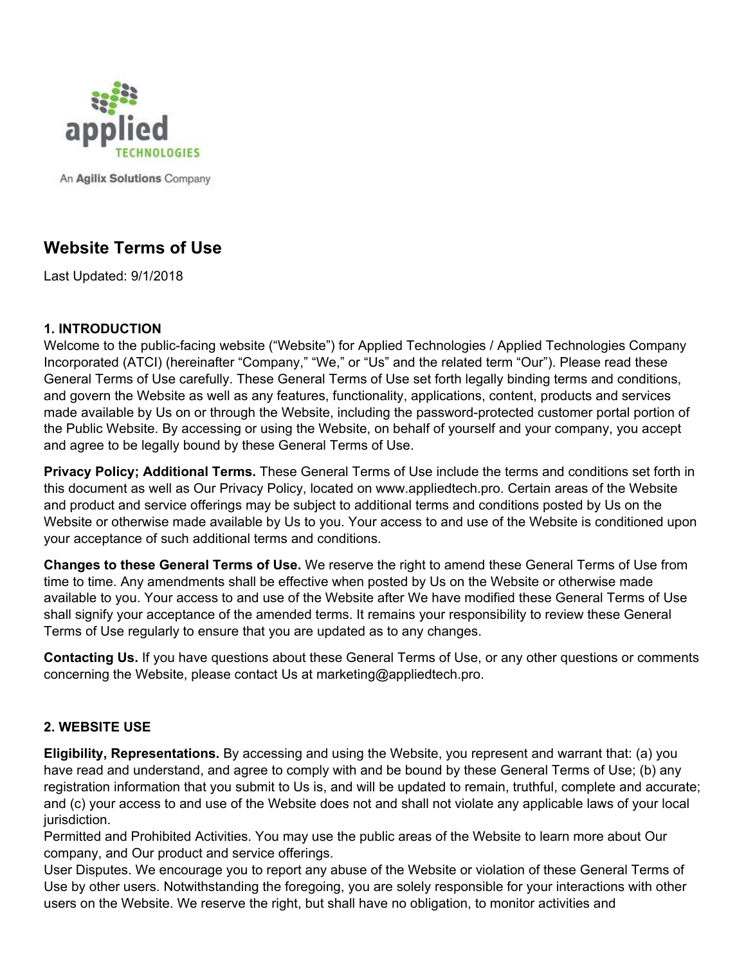

An Agilix Solutions Company

# **Website Terms of Use**

Last Updated: 9/1/2018

#### **1. INTRODUCTION**

Welcome to the public-facing website ("Website") for Applied Technologies / Applied Technologies Company Incorporated (ATCI) (hereinafter "Company," "We," or "Us" and the related term "Our"). Please read these General Terms of Use carefully. These General Terms of Use set forth legally binding terms and conditions, and govern the Website as well as any features, functionality, applications, content, products and services made available by Us on or through the Website, including the password-protected customer portal portion of the Public Website. By accessing or using the Website, on behalf of yourself and your company, you accept and agree to be legally bound by these General Terms of Use.

**Privacy Policy; Additional Terms.** These General Terms of Use include the terms and conditions set forth in this document as well as Our Privacy Policy, located on www.appliedtech.pro. Certain areas of the Website and product and service offerings may be subject to additional terms and conditions posted by Us on the Website or otherwise made available by Us to you. Your access to and use of the Website is conditioned upon your acceptance of such additional terms and conditions.

**Changes to these General Terms of Use.** We reserve the right to amend these General Terms of Use from time to time. Any amendments shall be effective when posted by Us on the Website or otherwise made available to you. Your access to and use of the Website after We have modified these General Terms of Use shall signify your acceptance of the amended terms. It remains your responsibility to review these General Terms of Use regularly to ensure that you are updated as to any changes.

**Contacting Us.** If you have questions about these General Terms of Use, or any other questions or comments concerning the Website, please contact Us at marketing@appliedtech.pro.

## **2. WEBSITE USE**

**Eligibility, Representations.** By accessing and using the Website, you represent and warrant that: (a) you have read and understand, and agree to comply with and be bound by these General Terms of Use; (b) any registration information that you submit to Us is, and will be updated to remain, truthful, complete and accurate; and (c) your access to and use of the Website does not and shall not violate any applicable laws of your local jurisdiction.

Permitted and Prohibited Activities. You may use the public areas of the Website to learn more about Our company, and Our product and service offerings.

User Disputes. We encourage you to report any abuse of the Website or violation of these General Terms of Use by other users. Notwithstanding the foregoing, you are solely responsible for your interactions with other users on the Website. We reserve the right, but shall have no obligation, to monitor activities and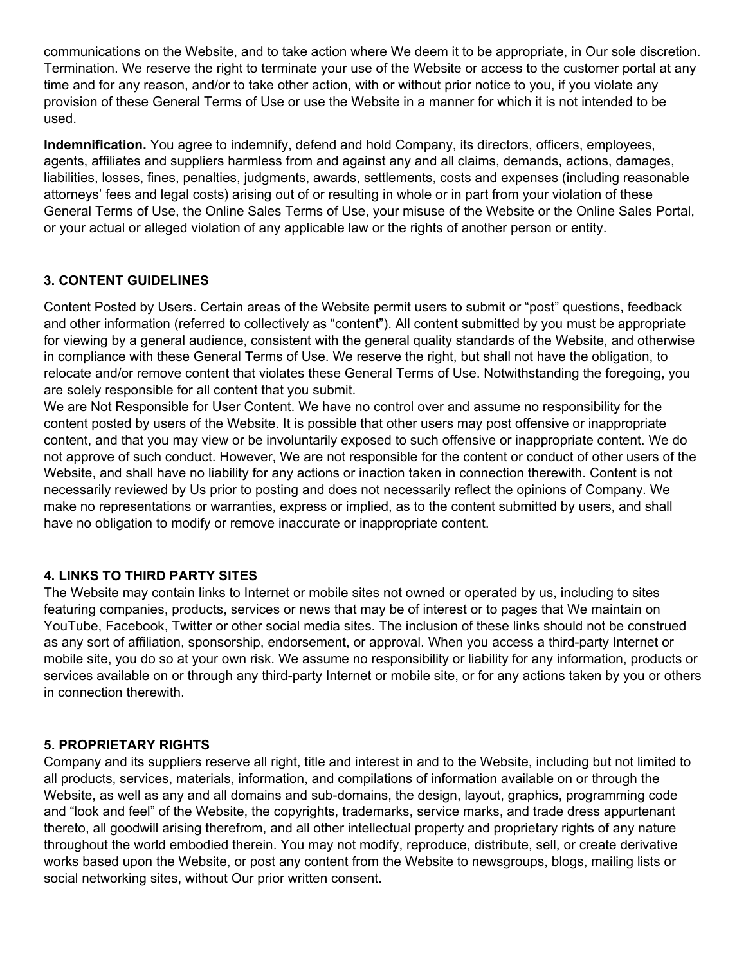communications on the Website, and to take action where We deem it to be appropriate, in Our sole discretion. Termination. We reserve the right to terminate your use of the Website or access to the customer portal at any time and for any reason, and/or to take other action, with or without prior notice to you, if you violate any provision of these General Terms of Use or use the Website in a manner for which it is not intended to be used.

**Indemnification.** You agree to indemnify, defend and hold Company, its directors, officers, employees, agents, affiliates and suppliers harmless from and against any and all claims, demands, actions, damages, liabilities, losses, fines, penalties, judgments, awards, settlements, costs and expenses (including reasonable attorneys' fees and legal costs) arising out of or resulting in whole or in part from your violation of these General Terms of Use, the Online Sales Terms of Use, your misuse of the Website or the Online Sales Portal, or your actual or alleged violation of any applicable law or the rights of another person or entity.

## **3. CONTENT GUIDELINES**

Content Posted by Users. Certain areas of the Website permit users to submit or "post" questions, feedback and other information (referred to collectively as "content"). All content submitted by you must be appropriate for viewing by a general audience, consistent with the general quality standards of the Website, and otherwise in compliance with these General Terms of Use. We reserve the right, but shall not have the obligation, to relocate and/or remove content that violates these General Terms of Use. Notwithstanding the foregoing, you are solely responsible for all content that you submit.

We are Not Responsible for User Content. We have no control over and assume no responsibility for the content posted by users of the Website. It is possible that other users may post offensive or inappropriate content, and that you may view or be involuntarily exposed to such offensive or inappropriate content. We do not approve of such conduct. However, We are not responsible for the content or conduct of other users of the Website, and shall have no liability for any actions or inaction taken in connection therewith. Content is not necessarily reviewed by Us prior to posting and does not necessarily reflect the opinions of Company. We make no representations or warranties, express or implied, as to the content submitted by users, and shall have no obligation to modify or remove inaccurate or inappropriate content.

## **4. LINKS TO THIRD PARTY SITES**

The Website may contain links to Internet or mobile sites not owned or operated by us, including to sites featuring companies, products, services or news that may be of interest or to pages that We maintain on YouTube, Facebook, Twitter or other social media sites. The inclusion of these links should not be construed as any sort of affiliation, sponsorship, endorsement, or approval. When you access a third-party Internet or mobile site, you do so at your own risk. We assume no responsibility or liability for any information, products or services available on or through any third-party Internet or mobile site, or for any actions taken by you or others in connection therewith.

## **5. PROPRIETARY RIGHTS**

Company and its suppliers reserve all right, title and interest in and to the Website, including but not limited to all products, services, materials, information, and compilations of information available on or through the Website, as well as any and all domains and sub-domains, the design, layout, graphics, programming code and "look and feel" of the Website, the copyrights, trademarks, service marks, and trade dress appurtenant thereto, all goodwill arising therefrom, and all other intellectual property and proprietary rights of any nature throughout the world embodied therein. You may not modify, reproduce, distribute, sell, or create derivative works based upon the Website, or post any content from the Website to newsgroups, blogs, mailing lists or social networking sites, without Our prior written consent.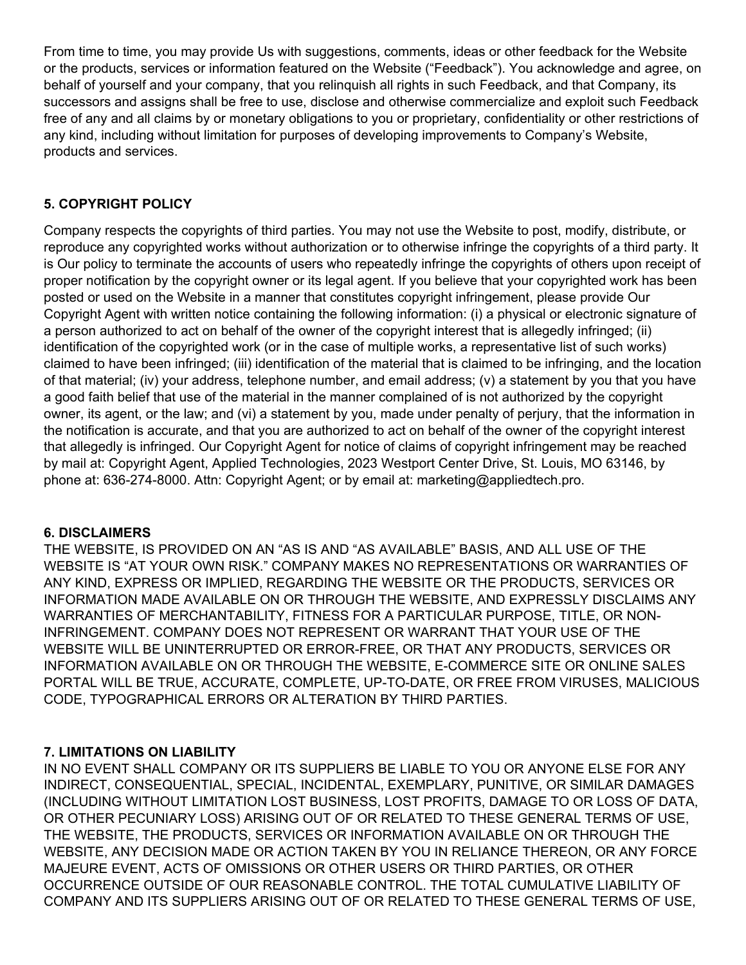From time to time, you may provide Us with suggestions, comments, ideas or other feedback for the Website or the products, services or information featured on the Website ("Feedback"). You acknowledge and agree, on behalf of yourself and your company, that you relinquish all rights in such Feedback, and that Company, its successors and assigns shall be free to use, disclose and otherwise commercialize and exploit such Feedback free of any and all claims by or monetary obligations to you or proprietary, confidentiality or other restrictions of any kind, including without limitation for purposes of developing improvements to Company's Website, products and services.

## **5. COPYRIGHT POLICY**

Company respects the copyrights of third parties. You may not use the Website to post, modify, distribute, or reproduce any copyrighted works without authorization or to otherwise infringe the copyrights of a third party. It is Our policy to terminate the accounts of users who repeatedly infringe the copyrights of others upon receipt of proper notification by the copyright owner or its legal agent. If you believe that your copyrighted work has been posted or used on the Website in a manner that constitutes copyright infringement, please provide Our Copyright Agent with written notice containing the following information: (i) a physical or electronic signature of a person authorized to act on behalf of the owner of the copyright interest that is allegedly infringed; (ii) identification of the copyrighted work (or in the case of multiple works, a representative list of such works) claimed to have been infringed; (iii) identification of the material that is claimed to be infringing, and the location of that material; (iv) your address, telephone number, and email address; (v) a statement by you that you have a good faith belief that use of the material in the manner complained of is not authorized by the copyright owner, its agent, or the law; and (vi) a statement by you, made under penalty of perjury, that the information in the notification is accurate, and that you are authorized to act on behalf of the owner of the copyright interest that allegedly is infringed. Our Copyright Agent for notice of claims of copyright infringement may be reached by mail at: Copyright Agent, Applied Technologies, 2023 Westport Center Drive, St. Louis, MO 63146, by phone at: 636-274-8000. Attn: Copyright Agent; or by email at: marketing@appliedtech.pro.

## **6. DISCLAIMERS**

THE WEBSITE, IS PROVIDED ON AN "AS IS AND "AS AVAILABLE" BASIS, AND ALL USE OF THE WEBSITE IS "AT YOUR OWN RISK." COMPANY MAKES NO REPRESENTATIONS OR WARRANTIES OF ANY KIND, EXPRESS OR IMPLIED, REGARDING THE WEBSITE OR THE PRODUCTS, SERVICES OR INFORMATION MADE AVAILABLE ON OR THROUGH THE WEBSITE, AND EXPRESSLY DISCLAIMS ANY WARRANTIES OF MERCHANTABILITY, FITNESS FOR A PARTICULAR PURPOSE, TITLE, OR NON-INFRINGEMENT. COMPANY DOES NOT REPRESENT OR WARRANT THAT YOUR USE OF THE WEBSITE WILL BE UNINTERRUPTED OR ERROR-FREE, OR THAT ANY PRODUCTS, SERVICES OR INFORMATION AVAILABLE ON OR THROUGH THE WEBSITE, E-COMMERCE SITE OR ONLINE SALES PORTAL WILL BE TRUE, ACCURATE, COMPLETE, UP-TO-DATE, OR FREE FROM VIRUSES, MALICIOUS CODE, TYPOGRAPHICAL ERRORS OR ALTERATION BY THIRD PARTIES.

## **7. LIMITATIONS ON LIABILITY**

IN NO EVENT SHALL COMPANY OR ITS SUPPLIERS BE LIABLE TO YOU OR ANYONE ELSE FOR ANY INDIRECT, CONSEQUENTIAL, SPECIAL, INCIDENTAL, EXEMPLARY, PUNITIVE, OR SIMILAR DAMAGES (INCLUDING WITHOUT LIMITATION LOST BUSINESS, LOST PROFITS, DAMAGE TO OR LOSS OF DATA, OR OTHER PECUNIARY LOSS) ARISING OUT OF OR RELATED TO THESE GENERAL TERMS OF USE, THE WEBSITE, THE PRODUCTS, SERVICES OR INFORMATION AVAILABLE ON OR THROUGH THE WEBSITE, ANY DECISION MADE OR ACTION TAKEN BY YOU IN RELIANCE THEREON, OR ANY FORCE MAJEURE EVENT, ACTS OF OMISSIONS OR OTHER USERS OR THIRD PARTIES, OR OTHER OCCURRENCE OUTSIDE OF OUR REASONABLE CONTROL. THE TOTAL CUMULATIVE LIABILITY OF COMPANY AND ITS SUPPLIERS ARISING OUT OF OR RELATED TO THESE GENERAL TERMS OF USE,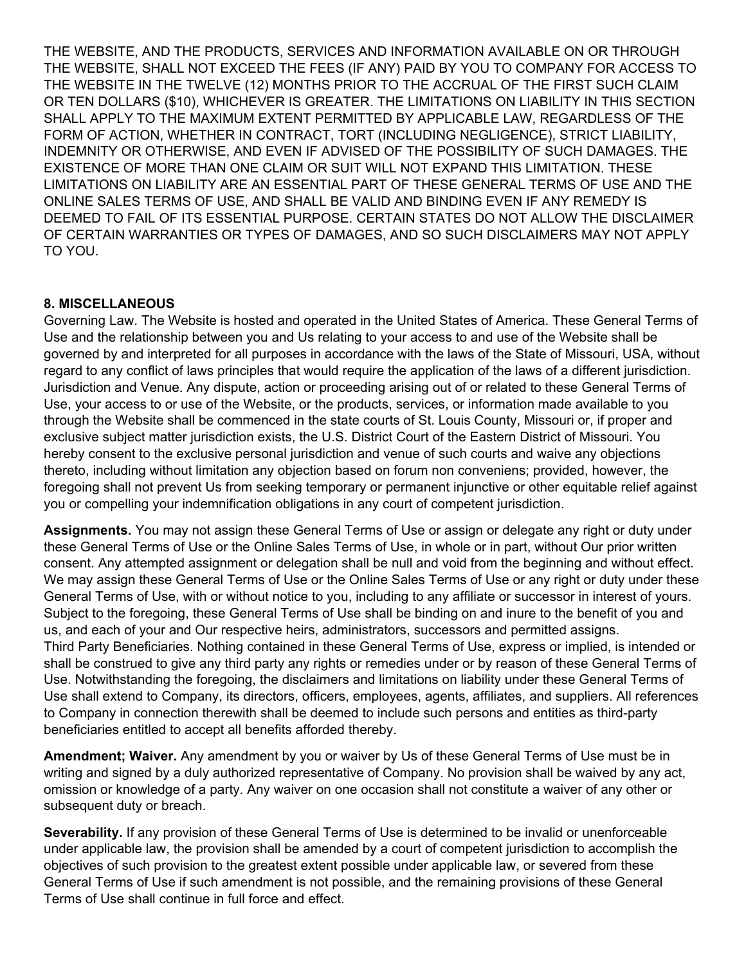THE WEBSITE, AND THE PRODUCTS, SERVICES AND INFORMATION AVAILABLE ON OR THROUGH THE WEBSITE, SHALL NOT EXCEED THE FEES (IF ANY) PAID BY YOU TO COMPANY FOR ACCESS TO THE WEBSITE IN THE TWELVE (12) MONTHS PRIOR TO THE ACCRUAL OF THE FIRST SUCH CLAIM OR TEN DOLLARS (\$10), WHICHEVER IS GREATER. THE LIMITATIONS ON LIABILITY IN THIS SECTION SHALL APPLY TO THE MAXIMUM EXTENT PERMITTED BY APPLICABLE LAW, REGARDLESS OF THE FORM OF ACTION, WHETHER IN CONTRACT, TORT (INCLUDING NEGLIGENCE), STRICT LIABILITY, INDEMNITY OR OTHERWISE, AND EVEN IF ADVISED OF THE POSSIBILITY OF SUCH DAMAGES. THE EXISTENCE OF MORE THAN ONE CLAIM OR SUIT WILL NOT EXPAND THIS LIMITATION. THESE LIMITATIONS ON LIABILITY ARE AN ESSENTIAL PART OF THESE GENERAL TERMS OF USE AND THE ONLINE SALES TERMS OF USE, AND SHALL BE VALID AND BINDING EVEN IF ANY REMEDY IS DEEMED TO FAIL OF ITS ESSENTIAL PURPOSE. CERTAIN STATES DO NOT ALLOW THE DISCLAIMER OF CERTAIN WARRANTIES OR TYPES OF DAMAGES, AND SO SUCH DISCLAIMERS MAY NOT APPLY TO YOU.

#### **8. MISCELLANEOUS**

Governing Law. The Website is hosted and operated in the United States of America. These General Terms of Use and the relationship between you and Us relating to your access to and use of the Website shall be governed by and interpreted for all purposes in accordance with the laws of the State of Missouri, USA, without regard to any conflict of laws principles that would require the application of the laws of a different jurisdiction. Jurisdiction and Venue. Any dispute, action or proceeding arising out of or related to these General Terms of Use, your access to or use of the Website, or the products, services, or information made available to you through the Website shall be commenced in the state courts of St. Louis County, Missouri or, if proper and exclusive subject matter jurisdiction exists, the U.S. District Court of the Eastern District of Missouri. You hereby consent to the exclusive personal jurisdiction and venue of such courts and waive any objections thereto, including without limitation any objection based on forum non conveniens; provided, however, the foregoing shall not prevent Us from seeking temporary or permanent injunctive or other equitable relief against you or compelling your indemnification obligations in any court of competent jurisdiction.

**Assignments.** You may not assign these General Terms of Use or assign or delegate any right or duty under these General Terms of Use or the Online Sales Terms of Use, in whole or in part, without Our prior written consent. Any attempted assignment or delegation shall be null and void from the beginning and without effect. We may assign these General Terms of Use or the Online Sales Terms of Use or any right or duty under these General Terms of Use, with or without notice to you, including to any affiliate or successor in interest of yours. Subject to the foregoing, these General Terms of Use shall be binding on and inure to the benefit of you and us, and each of your and Our respective heirs, administrators, successors and permitted assigns. Third Party Beneficiaries. Nothing contained in these General Terms of Use, express or implied, is intended or shall be construed to give any third party any rights or remedies under or by reason of these General Terms of Use. Notwithstanding the foregoing, the disclaimers and limitations on liability under these General Terms of Use shall extend to Company, its directors, officers, employees, agents, affiliates, and suppliers. All references to Company in connection therewith shall be deemed to include such persons and entities as third-party beneficiaries entitled to accept all benefits afforded thereby.

**Amendment; Waiver.** Any amendment by you or waiver by Us of these General Terms of Use must be in writing and signed by a duly authorized representative of Company. No provision shall be waived by any act, omission or knowledge of a party. Any waiver on one occasion shall not constitute a waiver of any other or subsequent duty or breach.

**Severability.** If any provision of these General Terms of Use is determined to be invalid or unenforceable under applicable law, the provision shall be amended by a court of competent jurisdiction to accomplish the objectives of such provision to the greatest extent possible under applicable law, or severed from these General Terms of Use if such amendment is not possible, and the remaining provisions of these General Terms of Use shall continue in full force and effect.